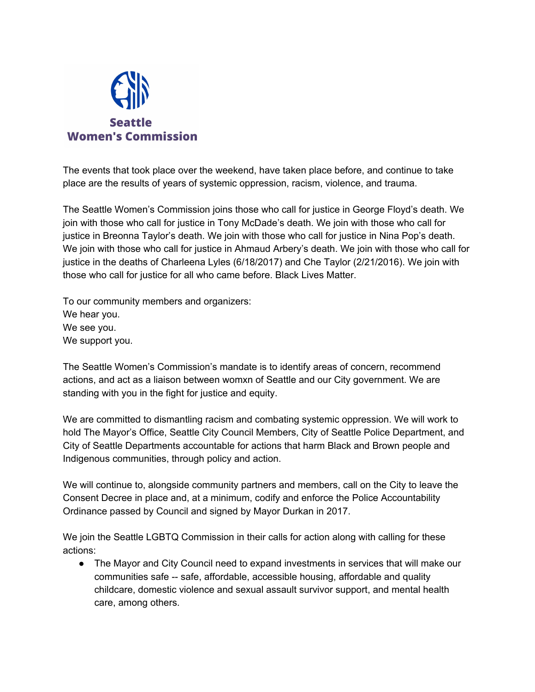

The events that took place over the weekend, have taken place before, and continue to take place are the results of years of systemic oppression, racism, violence, and trauma.

The Seattle Women's Commission joins those who call for justice in George Floyd's death. We join with those who call for justice in Tony McDade's death. We join with those who call for justice in Breonna Taylor's death. We join with those who call for justice in Nina Pop's death. We join with those who call for justice in Ahmaud Arbery's death. We join with those who call for justice in the deaths of Charleena Lyles (6/18/2017) and Che Taylor (2/21/2016). We join with those who call for justice for all who came before. Black Lives Matter.

To our community members and organizers: We hear you. We see you. We support you.

The Seattle Women's Commission's mandate is to identify areas of concern, recommend actions, and act as a liaison between womxn of Seattle and our City government. We are standing with you in the fight for justice and equity.

We are committed to dismantling racism and combating systemic oppression. We will work to hold The Mayor's Office, Seattle City Council Members, City of Seattle Police Department, and City of Seattle Departments accountable for actions that harm Black and Brown people and Indigenous communities, through policy and action.

We will continue to, alongside community partners and members, call on the City to leave the Consent Decree in place and, at a minimum, codify and enforce the Police Accountability Ordinance passed by Council and signed by Mayor Durkan in 2017.

We join the Seattle LGBTQ Commission in their calls for action along with calling for these actions:

• The Mayor and City Council need to expand investments in services that will make our communities safe -- safe, affordable, accessible housing, affordable and quality childcare, domestic violence and sexual assault survivor support, and mental health care, among others.